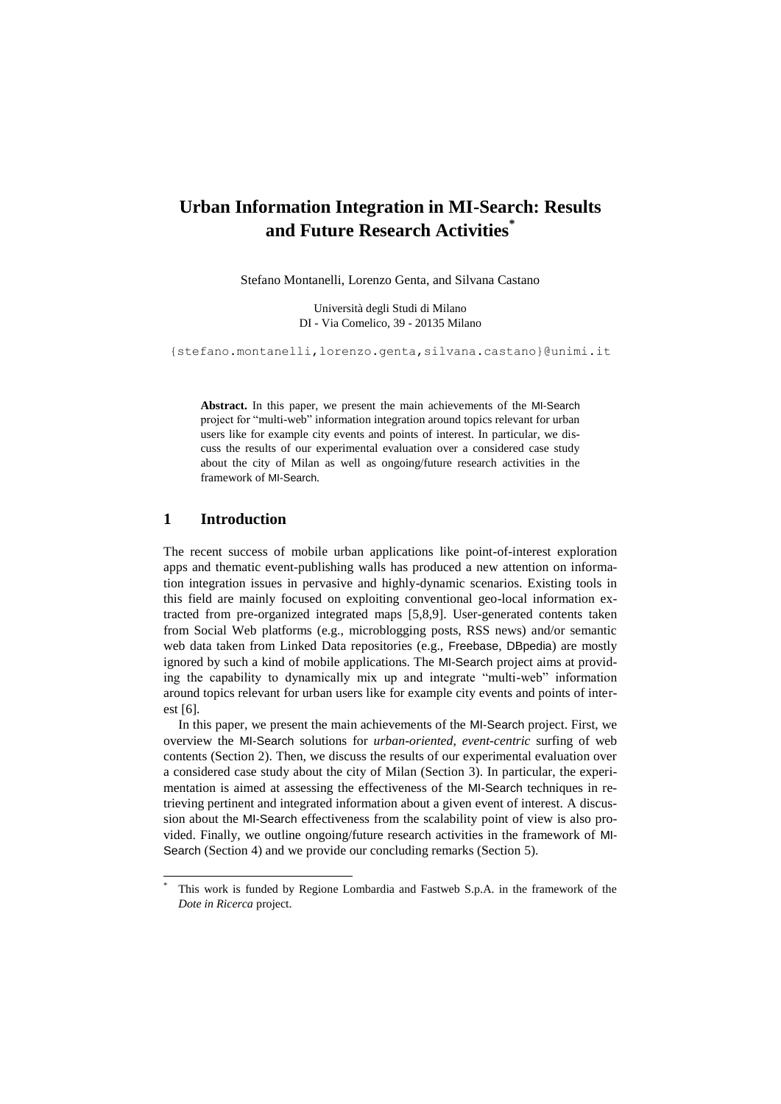# **Urban Information Integration in MI-Search: Results and Future Research Activities\***

Stefano Montanelli, Lorenzo Genta, and Silvana Castano

Università degli Studi di Milano DI - Via Comelico, 39 - 20135 Milano

{stefano.montanelli,lorenzo.genta,silvana.castano}@unimi.it

**Abstract.** In this paper, we present the main achievements of the MI-Search project for "multi-web" information integration around topics relevant for urban users like for example city events and points of interest. In particular, we discuss the results of our experimental evaluation over a considered case study about the city of Milan as well as ongoing/future research activities in the framework of MI-Search.

#### **1 Introduction**

 $\overline{a}$ 

The recent success of mobile urban applications like point-of-interest exploration apps and thematic event-publishing walls has produced a new attention on information integration issues in pervasive and highly-dynamic scenarios. Existing tools in this field are mainly focused on exploiting conventional geo-local information extracted from pre-organized integrated maps [5,8,9]. User-generated contents taken from Social Web platforms (e.g., microblogging posts, RSS news) and/or semantic web data taken from Linked Data repositories (e.g., Freebase, DBpedia) are mostly ignored by such a kind of mobile applications. The MI-Search project aims at providing the capability to dynamically mix up and integrate "multi-web" information around topics relevant for urban users like for example city events and points of interest [6].

In this paper, we present the main achievements of the MI-Search project. First, we overview the MI-Search solutions for *urban-oriented*, *event-centric* surfing of web contents (Section 2). Then, we discuss the results of our experimental evaluation over a considered case study about the city of Milan (Section 3). In particular, the experimentation is aimed at assessing the effectiveness of the MI-Search techniques in retrieving pertinent and integrated information about a given event of interest. A discussion about the MI-Search effectiveness from the scalability point of view is also provided. Finally, we outline ongoing/future research activities in the framework of MI-Search (Section 4) and we provide our concluding remarks (Section 5).

This work is funded by Regione Lombardia and Fastweb S.p.A. in the framework of the *Dote in Ricerca* project.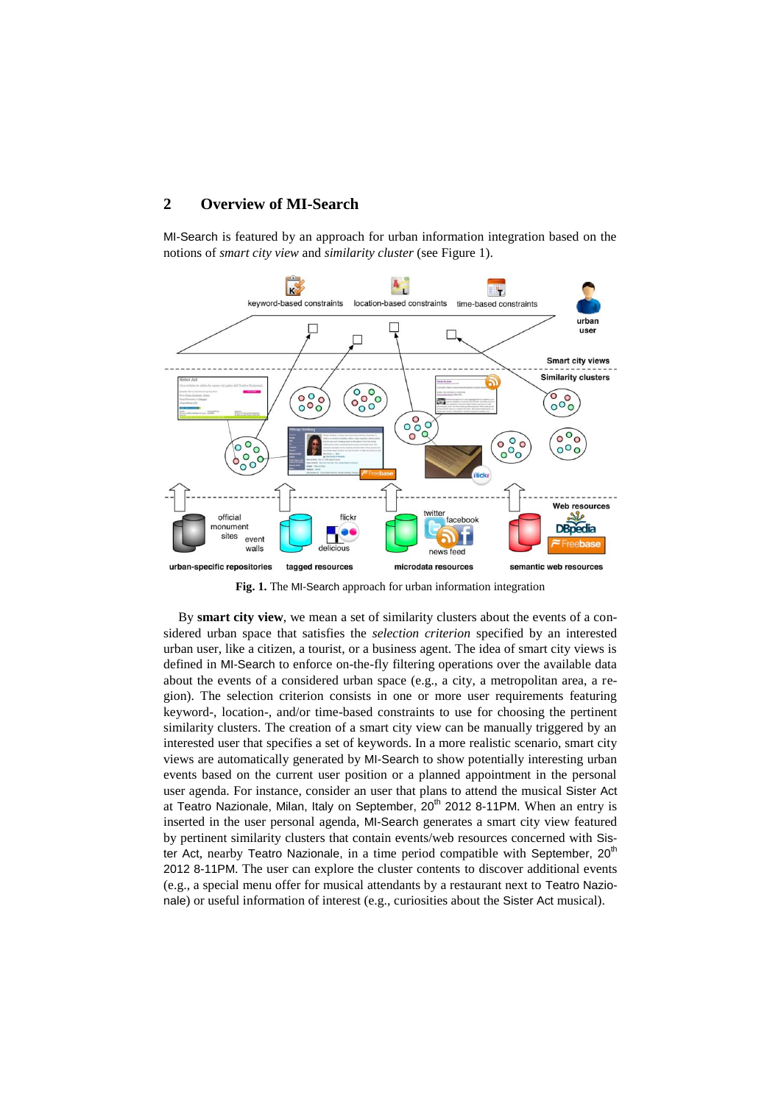## **2 Overview of MI-Search**

MI-Search is featured by an approach for urban information integration based on the notions of *smart city view* and *similarity cluster* (see Figure 1).



**Fig. 1.** The MI-Search approach for urban information integration

By **smart city view**, we mean a set of similarity clusters about the events of a considered urban space that satisfies the *selection criterion* specified by an interested urban user, like a citizen, a tourist, or a business agent. The idea of smart city views is defined in MI-Search to enforce on-the-fly filtering operations over the available data about the events of a considered urban space (e.g., a city, a metropolitan area, a region). The selection criterion consists in one or more user requirements featuring keyword-, location-, and/or time-based constraints to use for choosing the pertinent similarity clusters. The creation of a smart city view can be manually triggered by an interested user that specifies a set of keywords. In a more realistic scenario, smart city views are automatically generated by MI-Search to show potentially interesting urban events based on the current user position or a planned appointment in the personal user agenda. For instance, consider an user that plans to attend the musical Sister Act at Teatro Nazionale, Milan, Italy on September, 20<sup>th</sup> 2012 8-11PM. When an entry is inserted in the user personal agenda, MI-Search generates a smart city view featured by pertinent similarity clusters that contain events/web resources concerned with Sister Act, nearby Teatro Nazionale, in a time period compatible with September,  $20<sup>th</sup>$ 2012 8-11PM. The user can explore the cluster contents to discover additional events (e.g., a special menu offer for musical attendants by a restaurant next to Teatro Nazionale) or useful information of interest (e.g., curiosities about the Sister Act musical).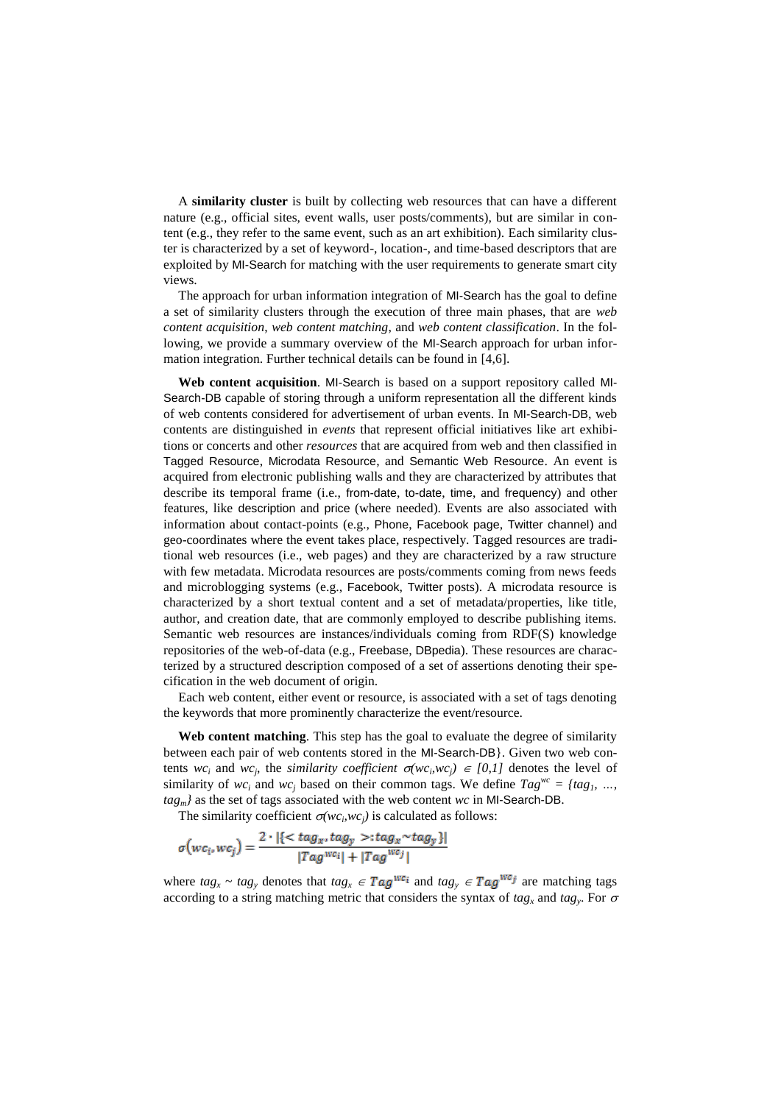A **similarity cluster** is built by collecting web resources that can have a different nature (e.g., official sites, event walls, user posts/comments), but are similar in content (e.g., they refer to the same event, such as an art exhibition). Each similarity cluster is characterized by a set of keyword-, location-, and time-based descriptors that are exploited by MI-Search for matching with the user requirements to generate smart city views.

The approach for urban information integration of MI-Search has the goal to define a set of similarity clusters through the execution of three main phases, that are *web content acquisition*, *web content matching*, and *web content classification*. In the following, we provide a summary overview of the MI-Search approach for urban information integration. Further technical details can be found in [4,6].

**Web content acquisition**. MI-Search is based on a support repository called MI-Search-DB capable of storing through a uniform representation all the different kinds of web contents considered for advertisement of urban events. In MI-Search-DB, web contents are distinguished in *events* that represent official initiatives like art exhibitions or concerts and other *resources* that are acquired from web and then classified in Tagged Resource, Microdata Resource, and Semantic Web Resource. An event is acquired from electronic publishing walls and they are characterized by attributes that describe its temporal frame (i.e., from-date, to-date, time, and frequency) and other features, like description and price (where needed). Events are also associated with information about contact-points (e.g., Phone, Facebook page, Twitter channel) and geo-coordinates where the event takes place, respectively. Tagged resources are traditional web resources (i.e., web pages) and they are characterized by a raw structure with few metadata. Microdata resources are posts/comments coming from news feeds and microblogging systems (e.g., Facebook, Twitter posts). A microdata resource is characterized by a short textual content and a set of metadata/properties, like title, author, and creation date, that are commonly employed to describe publishing items. Semantic web resources are instances/individuals coming from RDF(S) knowledge repositories of the web-of-data (e.g., Freebase, DBpedia). These resources are characterized by a structured description composed of a set of assertions denoting their specification in the web document of origin.

Each web content, either event or resource, is associated with a set of tags denoting the keywords that more prominently characterize the event/resource.

**Web content matching**. This step has the goal to evaluate the degree of similarity between each pair of web contents stored in the MI-Search-DB}. Given two web contents  $wc_i$  and  $wc_j$ , the *similarity coefficient*  $\sigma(wc_iwc_j) \in [0,1]$  denotes the level of similarity of  $wc_i$  and  $wc_j$  based on their common tags. We define  $Tag^{wc} = \{tag\}\$ *tagm}* as the set of tags associated with the web content *wc* in MI-Search-DB.

The similarity coefficient  $\sigma(wc_iwc_j)$  is calculated as follows:

$$
\sigma\big(wc_i, wc_j\big) = \frac{2 \cdot |\{\langle tag_x, tag_y \rangle : tag_x \sim tag_y \}|}{|Tag^{wc_i}| + |Tag^{wc_j}|}
$$

where  $tag_x \sim tag_y$  denotes that  $tag_x \in Tag^{we_i}$  and  $tag_y \in Tag^{we_j}$  are matching tags according to a string matching metric that considers the syntax of  $tag_x$  and  $tag_y$ . For  $\sigma$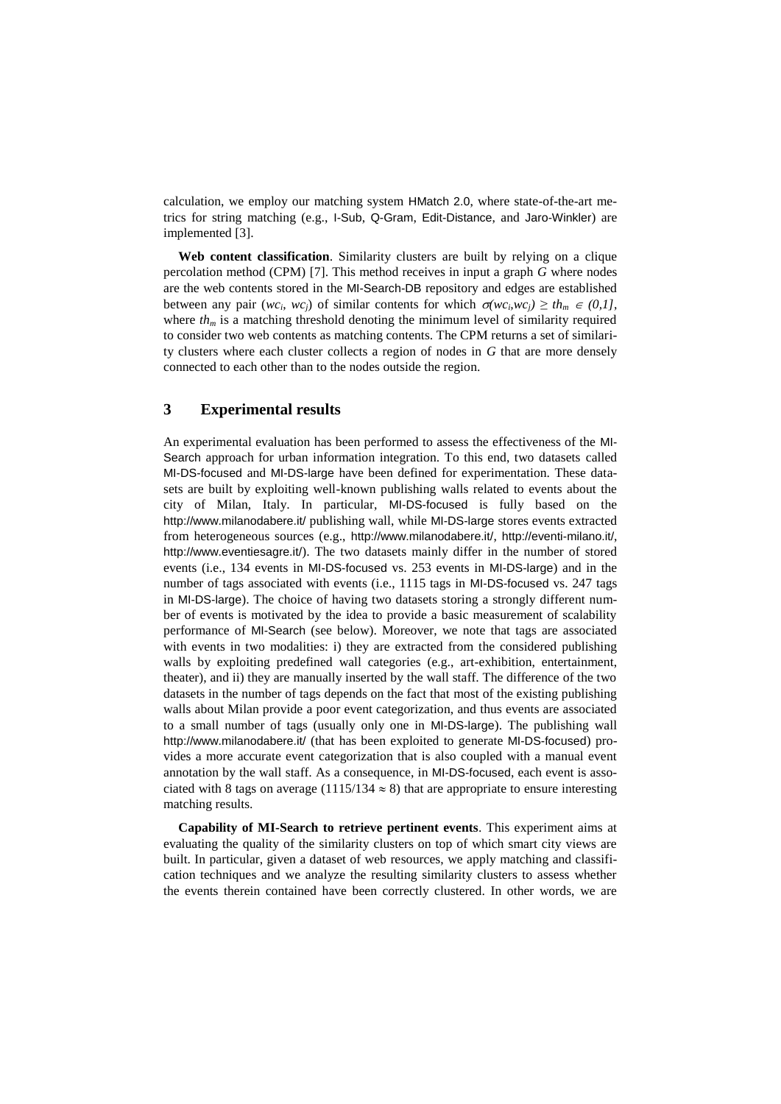calculation, we employ our matching system HMatch 2.0, where state-of-the-art metrics for string matching (e.g., I-Sub, Q-Gram, Edit-Distance, and Jaro-Winkler) are implemented [3].

**Web content classification**. Similarity clusters are built by relying on a clique percolation method (CPM) [7]. This method receives in input a graph *G* where nodes are the web contents stored in the MI-Search-DB repository and edges are established between any pair  $(wc_i, wc_j)$  of similar contents for which  $\sigma(wc_iwc_j) \geq th_m \in (0,1]$ , where  $th<sub>m</sub>$  is a matching threshold denoting the minimum level of similarity required to consider two web contents as matching contents. The CPM returns a set of similarity clusters where each cluster collects a region of nodes in *G* that are more densely connected to each other than to the nodes outside the region.

## **3 Experimental results**

An experimental evaluation has been performed to assess the effectiveness of the MI-Search approach for urban information integration. To this end, two datasets called MI-DS-focused and MI-DS-large have been defined for experimentation. These datasets are built by exploiting well-known publishing walls related to events about the city of Milan, Italy. In particular, MI-DS-focused is fully based on the <http://www.milanodabere.it/> publishing wall, while MI-DS-large stores events extracted from heterogeneous sources (e.g., http://www.milanodabere.it/, http://eventi-milano.it/, http://www.eventiesagre.it/). The two datasets mainly differ in the number of stored events (i.e., 134 events in MI-DS-focused vs. 253 events in MI-DS-large) and in the number of tags associated with events (i.e., 1115 tags in MI-DS-focused vs. 247 tags in MI-DS-large). The choice of having two datasets storing a strongly different number of events is motivated by the idea to provide a basic measurement of scalability performance of MI-Search (see below). Moreover, we note that tags are associated with events in two modalities: i) they are extracted from the considered publishing walls by exploiting predefined wall categories (e.g., art-exhibition, entertainment, theater), and ii) they are manually inserted by the wall staff. The difference of the two datasets in the number of tags depends on the fact that most of the existing publishing walls about Milan provide a poor event categorization, and thus events are associated to a small number of tags (usually only one in MI-DS-large). The publishing wall http://www.milanodabere.it/ (that has been exploited to generate MI-DS-focused) provides a more accurate event categorization that is also coupled with a manual event annotation by the wall staff. As a consequence, in MI-DS-focused, each event is associated with 8 tags on average (1115/134  $\approx$  8) that are appropriate to ensure interesting matching results.

**Capability of MI-Search to retrieve pertinent events**. This experiment aims at evaluating the quality of the similarity clusters on top of which smart city views are built. In particular, given a dataset of web resources, we apply matching and classification techniques and we analyze the resulting similarity clusters to assess whether the events therein contained have been correctly clustered. In other words, we are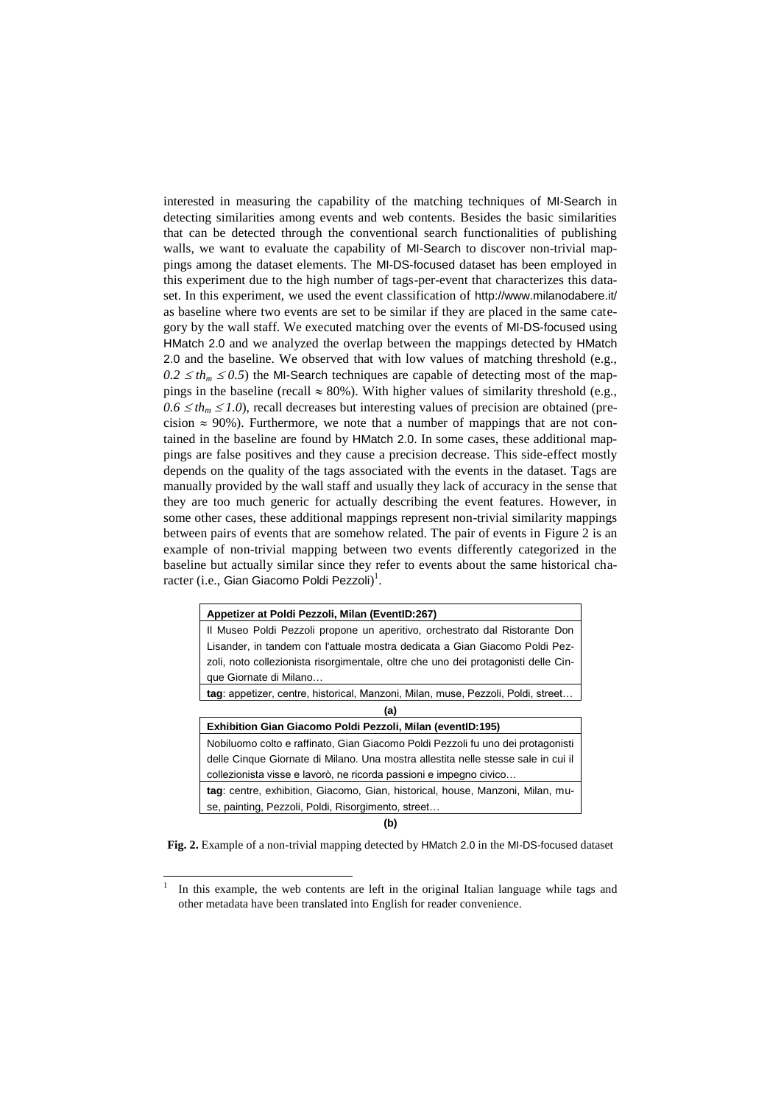interested in measuring the capability of the matching techniques of MI-Search in detecting similarities among events and web contents. Besides the basic similarities that can be detected through the conventional search functionalities of publishing walls, we want to evaluate the capability of MI-Search to discover non-trivial mappings among the dataset elements. The MI-DS-focused dataset has been employed in this experiment due to the high number of tags-per-event that characterizes this dataset. In this experiment, we used the event classification of http://www.milanodabere.it/ as baseline where two events are set to be similar if they are placed in the same category by the wall staff. We executed matching over the events of MI-DS-focused using HMatch 2.0 and we analyzed the overlap between the mappings detected by HMatch 2.0 and the baseline. We observed that with low values of matching threshold (e.g.,  $0.2 \leq th_m \leq 0.5$ ) the MI-Search techniques are capable of detecting most of the mappings in the baseline (recall  $\approx 80\%$ ). With higher values of similarity threshold (e.g.,  $0.6 \leq th_m \leq 1.0$ ), recall decreases but interesting values of precision are obtained (precision  $\approx$  90%). Furthermore, we note that a number of mappings that are not contained in the baseline are found by HMatch 2.0. In some cases, these additional mappings are false positives and they cause a precision decrease. This side-effect mostly depends on the quality of the tags associated with the events in the dataset. Tags are manually provided by the wall staff and usually they lack of accuracy in the sense that they are too much generic for actually describing the event features. However, in some other cases, these additional mappings represent non-trivial similarity mappings between pairs of events that are somehow related. The pair of events in Figure 2 is an example of non-trivial mapping between two events differently categorized in the baseline but actually similar since they refer to events about the same historical cha- $\mathrm{racter}\ (\mathrm{i.e.,}$  Gian Giacomo Poldi Pezzoli $)^1.$ 

| Appetizer at Poldi Pezzoli, Milan (EventID:267)                                    |  |  |  |  |
|------------------------------------------------------------------------------------|--|--|--|--|
| Il Museo Poldi Pezzoli propone un aperitivo, orchestrato dal Ristorante Don        |  |  |  |  |
| Lisander, in tandem con l'attuale mostra dedicata a Gian Giacomo Poldi Pez-        |  |  |  |  |
| zoli, noto collezionista risorgimentale, oltre che uno dei protagonisti delle Cin- |  |  |  |  |
| que Giornate di Milano                                                             |  |  |  |  |
| tag: appetizer, centre, historical, Manzoni, Milan, muse, Pezzoli, Poldi, street   |  |  |  |  |
| (a)                                                                                |  |  |  |  |
| Exhibition Gian Giacomo Poldi Pezzoli, Milan (eventID:195)                         |  |  |  |  |
| Nobiluomo colto e raffinato, Gian Giacomo Poldi Pezzoli fu uno dei protagonisti    |  |  |  |  |
| delle Cinque Giornate di Milano. Una mostra allestita nelle stesse sale in cui il  |  |  |  |  |
| collezionista visse e lavorò, ne ricorda passioni e impegno civico                 |  |  |  |  |
| tag: centre, exhibition, Giacomo, Gian, historical, house, Manzoni, Milan, mu-     |  |  |  |  |
| se, painting, Pezzoli, Poldi, Risorgimento, street                                 |  |  |  |  |

**(b)**

**Fig. 2.** Example of a non-trivial mapping detected by HMatch 2.0 in the MI-DS-focused dataset

 $\overline{a}$ 

<sup>1</sup> In this example, the web contents are left in the original Italian language while tags and other metadata have been translated into English for reader convenience.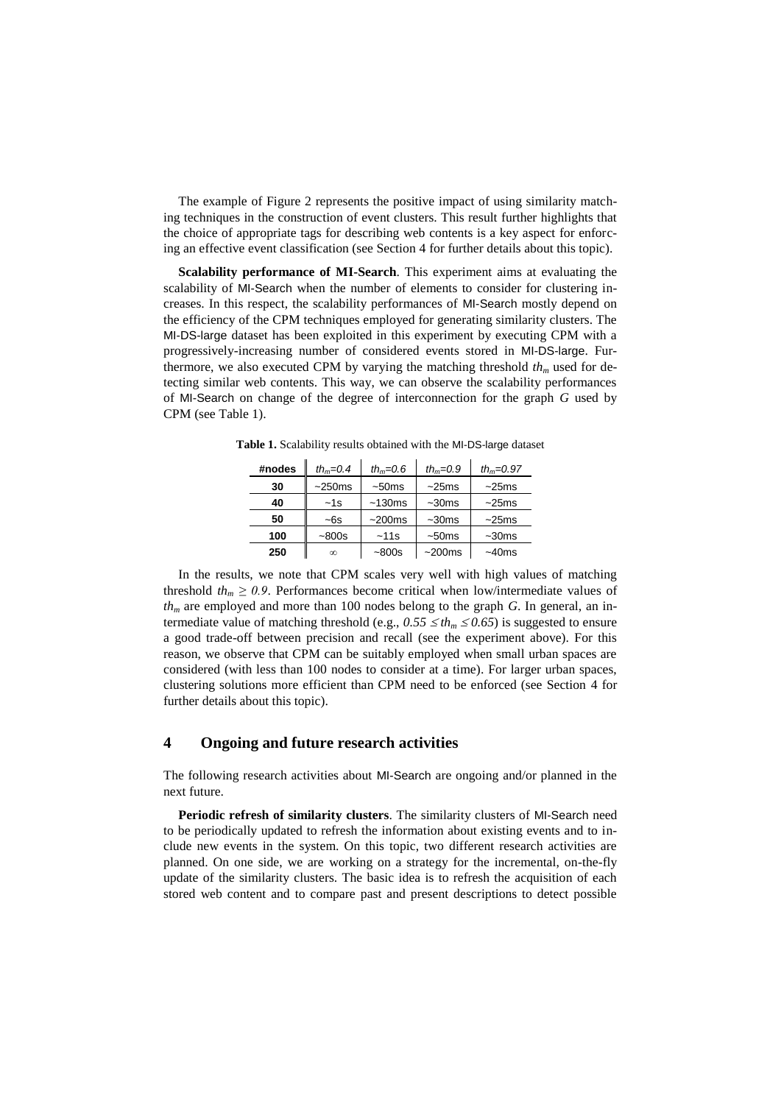The example of Figure 2 represents the positive impact of using similarity matching techniques in the construction of event clusters. This result further highlights that the choice of appropriate tags for describing web contents is a key aspect for enforcing an effective event classification (see Section 4 for further details about this topic).

**Scalability performance of MI-Search**. This experiment aims at evaluating the scalability of MI-Search when the number of elements to consider for clustering increases. In this respect, the scalability performances of MI-Search mostly depend on the efficiency of the CPM techniques employed for generating similarity clusters. The MI-DS-large dataset has been exploited in this experiment by executing CPM with a progressively-increasing number of considered events stored in MI-DS-large. Furthermore, we also executed CPM by varying the matching threshold *th<sup>m</sup>* used for detecting similar web contents. This way, we can observe the scalability performances of MI-Search on change of the degree of interconnection for the graph *G* used by CPM (see Table 1).

| #nodes | th <sub>m</sub> =0.4 | th <sub>m</sub> = $0.6$ | th <sub>m</sub> =0.9 | th <sub>m</sub> =0.97 |
|--------|----------------------|-------------------------|----------------------|-----------------------|
| 30     | $~250$ ms            | ~50ms                   | ~25ms                | ~25ms                 |
| 40     | $-1s$                | $~130$ ms               | $~1$ -30 $ms$        | ~25ms                 |
| 50     | ~6s                  | $~200$ ms               | $~1$ -30 $ms$        | ~25ms                 |
| 100    | $-800s$              | ~11s                    | ~50 <sub>ms</sub>    | $~1$ -30 $ms$         |
| 250    | $\infty$             | $-800s$                 | ~200ms               | $~10$ ms              |

**Table 1.** Scalability results obtained with the MI-DS-large dataset

In the results, we note that CPM scales very well with high values of matching threshold  $th_m \geq 0.9$ . Performances become critical when low/intermediate values of *th<sup>m</sup>* are employed and more than 100 nodes belong to the graph *G*. In general, an intermediate value of matching threshold (e.g.,  $0.55 \leq th_m \leq 0.65$ ) is suggested to ensure a good trade-off between precision and recall (see the experiment above). For this reason, we observe that CPM can be suitably employed when small urban spaces are considered (with less than 100 nodes to consider at a time). For larger urban spaces, clustering solutions more efficient than CPM need to be enforced (see Section 4 for further details about this topic).

### **4 Ongoing and future research activities**

The following research activities about MI-Search are ongoing and/or planned in the next future.

**Periodic refresh of similarity clusters**. The similarity clusters of MI-Search need to be periodically updated to refresh the information about existing events and to include new events in the system. On this topic, two different research activities are planned. On one side, we are working on a strategy for the incremental, on-the-fly update of the similarity clusters. The basic idea is to refresh the acquisition of each stored web content and to compare past and present descriptions to detect possible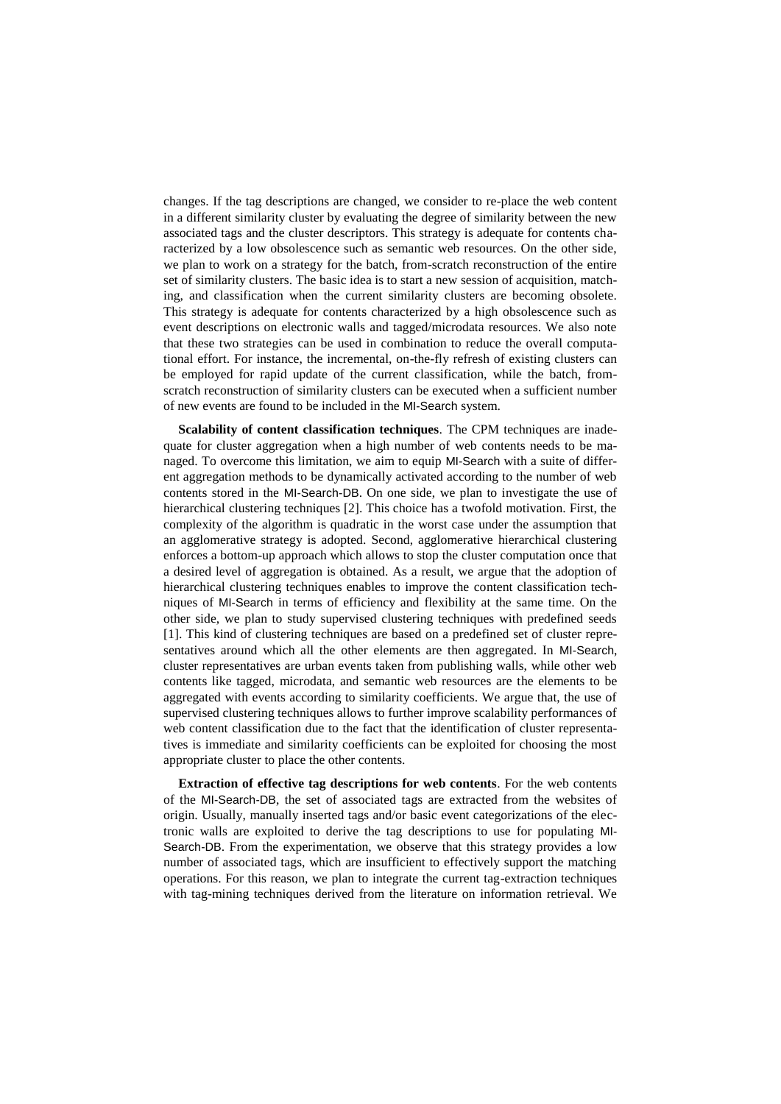changes. If the tag descriptions are changed, we consider to re-place the web content in a different similarity cluster by evaluating the degree of similarity between the new associated tags and the cluster descriptors. This strategy is adequate for contents characterized by a low obsolescence such as semantic web resources. On the other side, we plan to work on a strategy for the batch, from-scratch reconstruction of the entire set of similarity clusters. The basic idea is to start a new session of acquisition, matching, and classification when the current similarity clusters are becoming obsolete. This strategy is adequate for contents characterized by a high obsolescence such as event descriptions on electronic walls and tagged/microdata resources. We also note that these two strategies can be used in combination to reduce the overall computational effort. For instance, the incremental, on-the-fly refresh of existing clusters can be employed for rapid update of the current classification, while the batch, fromscratch reconstruction of similarity clusters can be executed when a sufficient number of new events are found to be included in the MI-Search system.

**Scalability of content classification techniques**. The CPM techniques are inadequate for cluster aggregation when a high number of web contents needs to be managed. To overcome this limitation, we aim to equip MI-Search with a suite of different aggregation methods to be dynamically activated according to the number of web contents stored in the MI-Search-DB. On one side, we plan to investigate the use of hierarchical clustering techniques [2]. This choice has a twofold motivation. First, the complexity of the algorithm is quadratic in the worst case under the assumption that an agglomerative strategy is adopted. Second, agglomerative hierarchical clustering enforces a bottom-up approach which allows to stop the cluster computation once that a desired level of aggregation is obtained. As a result, we argue that the adoption of hierarchical clustering techniques enables to improve the content classification techniques of MI-Search in terms of efficiency and flexibility at the same time. On the other side, we plan to study supervised clustering techniques with predefined seeds [1]. This kind of clustering techniques are based on a predefined set of cluster representatives around which all the other elements are then aggregated. In MI-Search, cluster representatives are urban events taken from publishing walls, while other web contents like tagged, microdata, and semantic web resources are the elements to be aggregated with events according to similarity coefficients. We argue that, the use of supervised clustering techniques allows to further improve scalability performances of web content classification due to the fact that the identification of cluster representatives is immediate and similarity coefficients can be exploited for choosing the most appropriate cluster to place the other contents.

**Extraction of effective tag descriptions for web contents**. For the web contents of the MI-Search-DB, the set of associated tags are extracted from the websites of origin. Usually, manually inserted tags and/or basic event categorizations of the electronic walls are exploited to derive the tag descriptions to use for populating MI-Search-DB. From the experimentation, we observe that this strategy provides a low number of associated tags, which are insufficient to effectively support the matching operations. For this reason, we plan to integrate the current tag-extraction techniques with tag-mining techniques derived from the literature on information retrieval. We